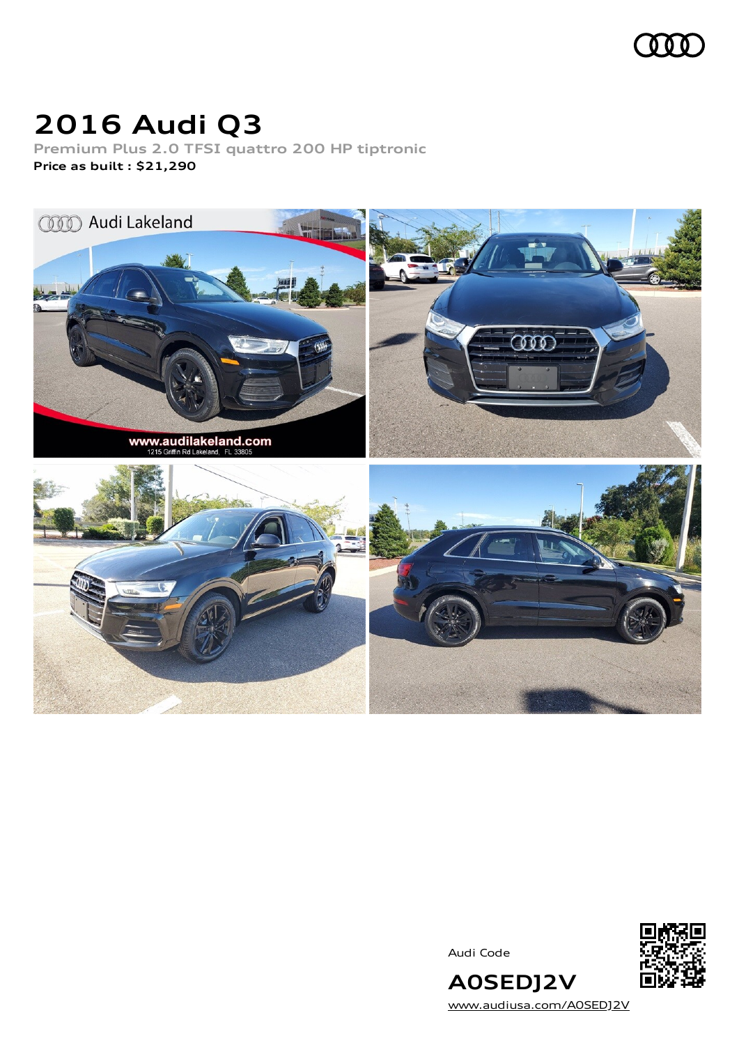

## **2016 Audi Q3**

**Premium Plus 2.0 TFSI quattro 200 HP tiptronic Price as built [:](#page-9-0) \$21,290**



Audi Code



[www.audiusa.com/A0SEDJ2V](https://www.audiusa.com/A0SEDJ2V)

**A0SEDJ2V**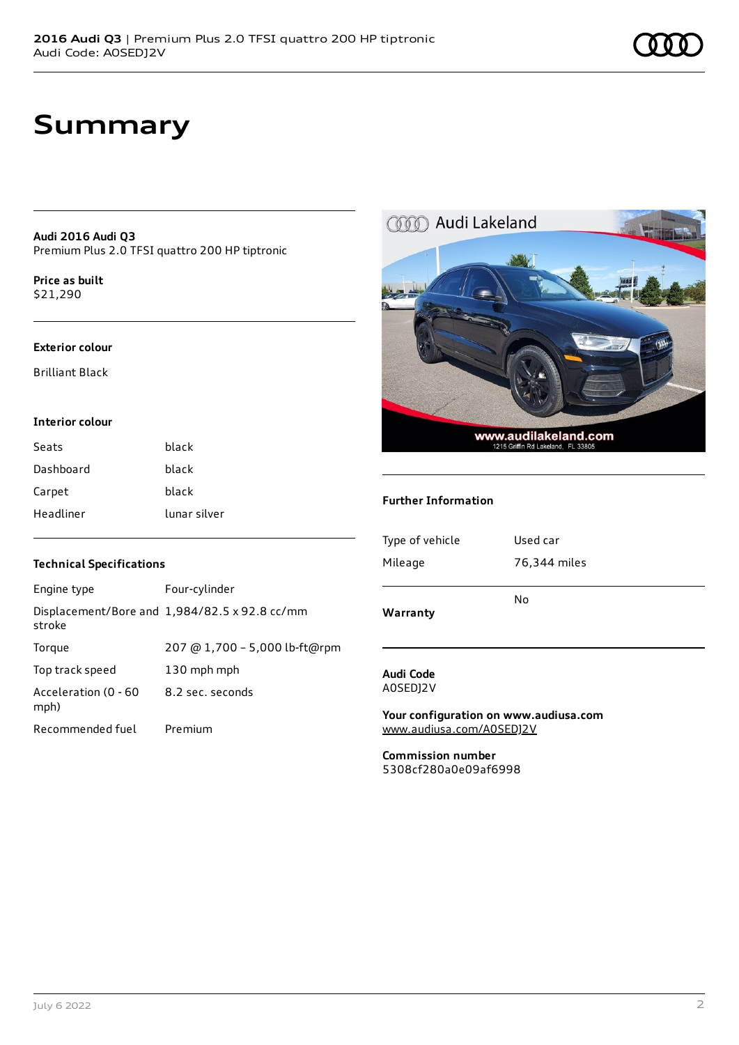## **Summary**

**Audi 2016 Audi Q3** Premium Plus 2.0 TFSI quattro 200 HP tiptronic

**Price as buil[t](#page-9-0)** \$21,290

#### **Exterior colour**

Brilliant Black

#### **Interior colour**

| Seats     | black        |
|-----------|--------------|
| Dashboard | black        |
| Carpet    | black        |
| Headliner | lunar silver |

# COOD Audi Lakeland WWW.audilakeland.com

#### **Further Information**

| Type of vehicle | Used car     |
|-----------------|--------------|
| Mileage         | 76,344 miles |
|                 | No           |
| Warranty        |              |

#### **Audi Code** A0SEDJ2V

**Your configuration on www.audiusa.com** [www.audiusa.com/A0SEDJ2V](https://www.audiusa.com/A0SEDJ2V)

**Commission number** 5308cf280a0e09af6998

#### **Technical Specifications**

| Engine type                  | Four-cylinder                                 |
|------------------------------|-----------------------------------------------|
| stroke                       | Displacement/Bore and 1,984/82.5 x 92.8 cc/mm |
| Torque                       | 207 @ 1,700 - 5,000 lb-ft@rpm                 |
| Top track speed              | 130 mph mph                                   |
| Acceleration (0 - 60<br>mph) | 8.2 sec. seconds                              |
| Recommended fuel             | Premium                                       |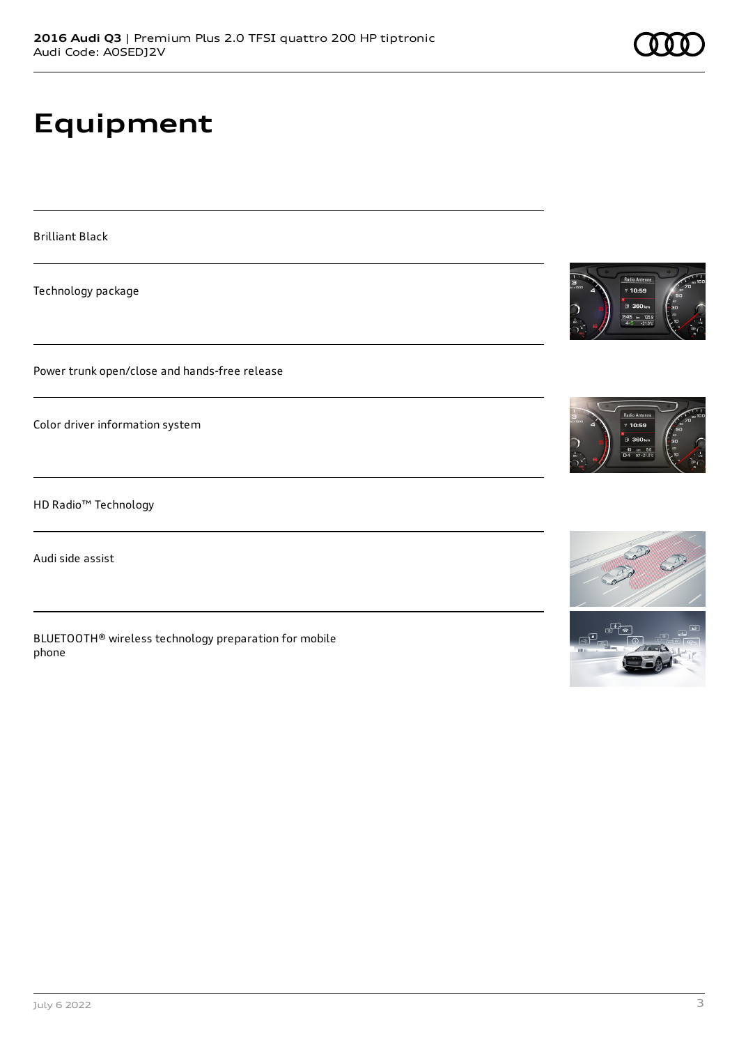# **Equipment**

Brilliant Black

Technology package

Power trunk open/close and hands-free release

Color driver information system

HD Radio™ Technology

Audi side assist

BLUETOOTH® wireless technology preparation for mobile phone



 $10:59$ 



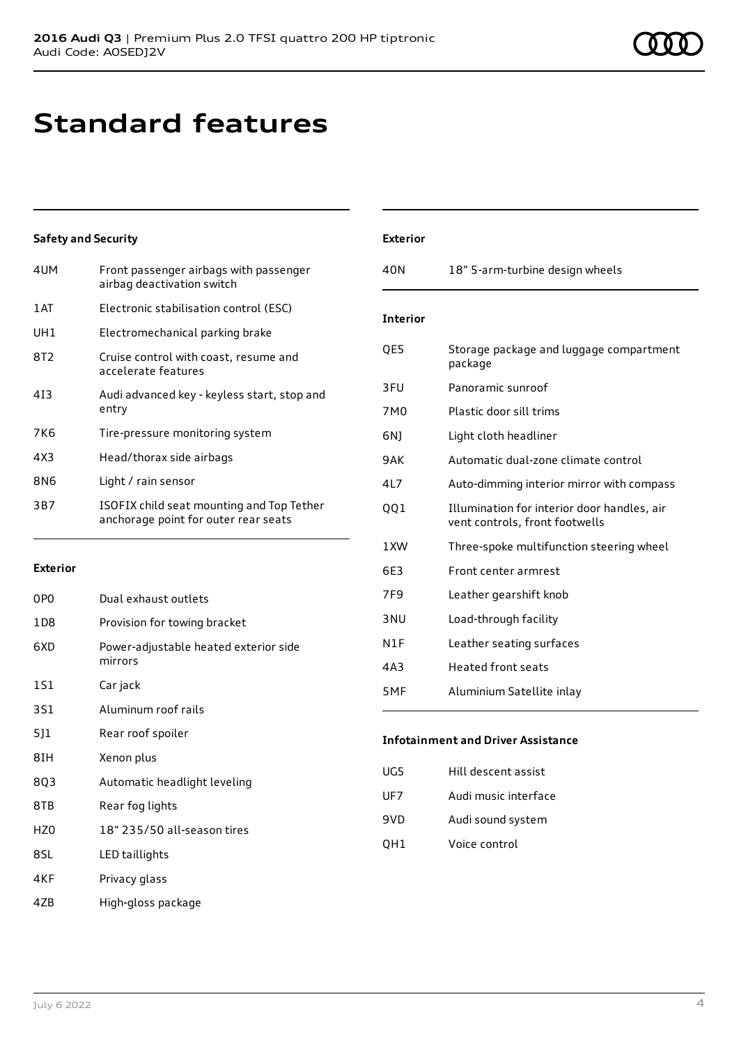## **Standard features**

### **Safety and Security**

| 4UM  | Front passenger airbags with passenger<br>airbag deactivation switch              |
|------|-----------------------------------------------------------------------------------|
| 1 AT | Electronic stabilisation control (ESC)                                            |
| UH1  | Electromechanical parking brake                                                   |
| 8T2  | Cruise control with coast, resume and<br>accelerate features                      |
| 413  | Audi advanced key - keyless start, stop and<br>entry                              |
| 7K6  | Tire-pressure monitoring system                                                   |
| 4X3  | Head/thorax side airbags                                                          |
| 8N6  | Light / rain sensor                                                               |
| 3B7  | ISOFIX child seat mounting and Top Tether<br>anchorage point for outer rear seats |

#### **Exterior**

| 0P <sub>0</sub> | Dual exhaust outlets                             |
|-----------------|--------------------------------------------------|
| 1 D 8           | Provision for towing bracket                     |
| 6XD             | Power-adjustable heated exterior side<br>mirrors |
| 1S1             | Car jack                                         |
| 3S1             | Aluminum roof rails                              |
| 5]1             | Rear roof spoiler                                |
| 8IH             | Xenon plus                                       |
| 803             | Automatic headlight leveling                     |
| 8TB             | Rear fog lights                                  |
| HZ0             | 18" 235/50 all-season tires                      |
| 8SL             | LED taillights                                   |
| 4KF             | Privacy glass                                    |

| <b>Exterior</b> |                                                                               |
|-----------------|-------------------------------------------------------------------------------|
| 40 <sub>N</sub> | 18" 5-arm-turbine design wheels                                               |
|                 |                                                                               |
| <b>Interior</b> |                                                                               |
| QE5             | Storage package and luggage compartment<br>package                            |
| 3FU             | Panoramic sunroof                                                             |
| 7M0             | Plastic door sill trims                                                       |
| 6N)             | Light cloth headliner                                                         |
| 9AK             | Automatic dual-zone climate control                                           |
| 417             | Auto-dimming interior mirror with compass                                     |
| 001             | Illumination for interior door handles, air<br>vent controls, front footwells |
| 1XW             | Three-spoke multifunction steering wheel                                      |
| 6E3             | Front center armrest                                                          |
| 7F <sub>9</sub> | Leather gearshift knob                                                        |
| 3 <sub>NU</sub> | Load-through facility                                                         |
| N1F             | Leather seating surfaces                                                      |
| 4A3             | Heated front seats                                                            |
| 5MF             | Aluminium Satellite inlay                                                     |

## **Infotainment and Driver Assistance**

| UG5 | Hill descent assist  |
|-----|----------------------|
| UF7 | Audi music interface |
| 9VD | Audi sound system    |
| OH1 | Voice control        |

4ZB High-gloss package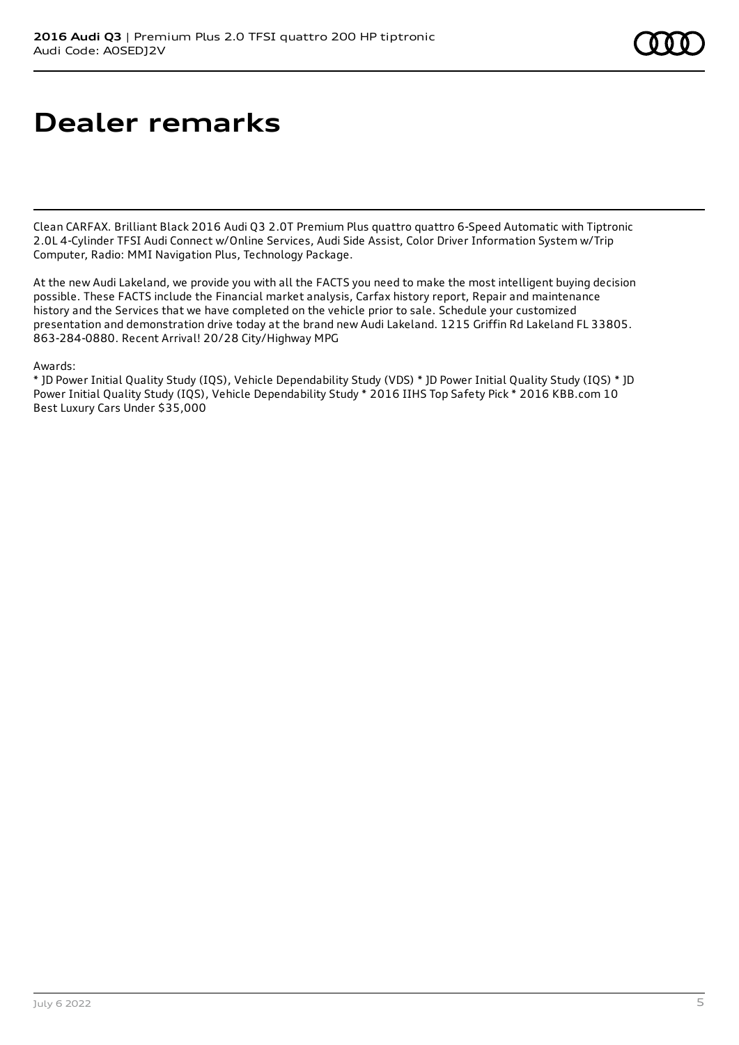## **Dealer remarks**

Clean CARFAX. Brilliant Black 2016 Audi Q3 2.0T Premium Plus quattro quattro 6-Speed Automatic with Tiptronic 2.0L 4-Cylinder TFSI Audi Connect w/Online Services, Audi Side Assist, Color Driver Information System w/Trip Computer, Radio: MMI Navigation Plus, Technology Package.

At the new Audi Lakeland, we provide you with all the FACTS you need to make the most intelligent buying decision possible. These FACTS include the Financial market analysis, Carfax history report, Repair and maintenance history and the Services that we have completed on the vehicle prior to sale. Schedule your customized presentation and demonstration drive today at the brand new Audi Lakeland. 1215 Griffin Rd Lakeland FL 33805. 863-284-0880. Recent Arrival! 20/28 City/Highway MPG

#### Awards:

\* JD Power Initial Quality Study (IQS), Vehicle Dependability Study (VDS) \* JD Power Initial Quality Study (IQS) \* JD Power Initial Quality Study (IQS), Vehicle Dependability Study \* 2016 IIHS Top Safety Pick \* 2016 KBB.com 10 Best Luxury Cars Under \$35,000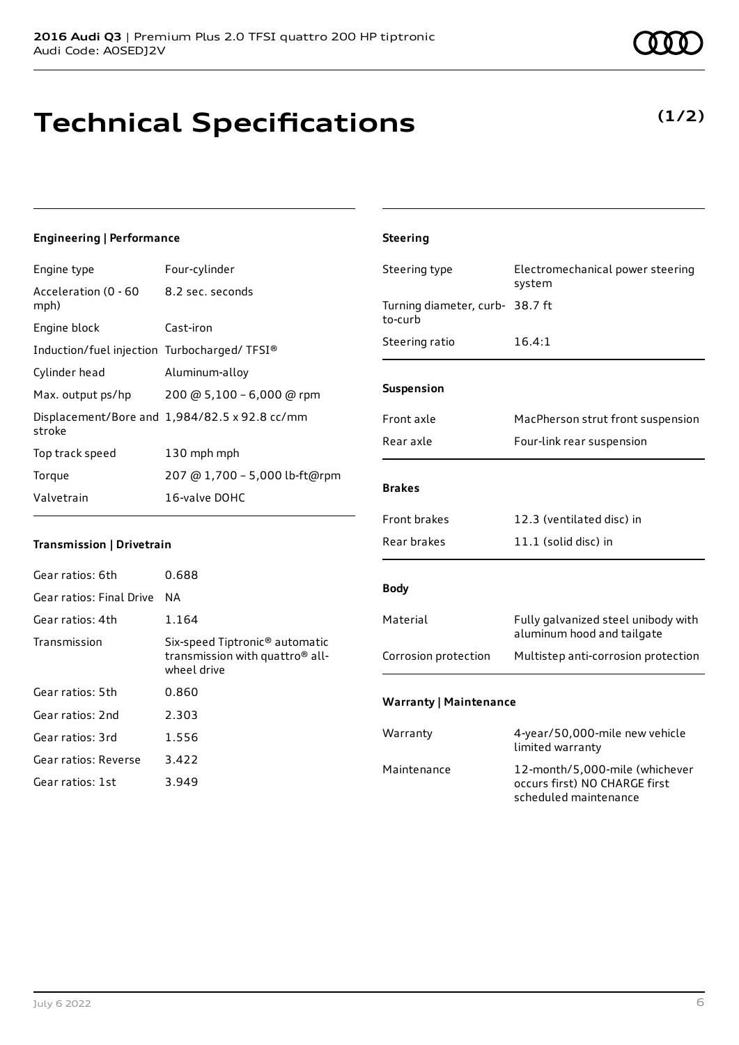## **Technical Specifications**

**Engineering | Performance**

Gear ratios: 5th 0.860 Gear ratios: 2nd 2.303 Gear ratios: 3rd 1.556 Gear ratios: Reverse 3.422 Gear ratios: 1st 3.949

Engine type Four-cylinder

#### July 6 2022 6

| Acceleration (0 - 60                        | 8.2 sec. seconds                                           |                                 | system                              |
|---------------------------------------------|------------------------------------------------------------|---------------------------------|-------------------------------------|
| mph)                                        |                                                            | Turning diameter, curb- 38.7 ft |                                     |
| Engine block                                | Cast-iron                                                  | to-curb                         |                                     |
| Induction/fuel injection Turbocharged/TFSI® |                                                            | Steering ratio                  | 16.4:1                              |
| Cylinder head                               | Aluminum-alloy                                             |                                 |                                     |
| Max. output ps/hp                           | 200 @ 5,100 - 6,000 @ rpm                                  | Suspension                      |                                     |
| stroke                                      | Displacement/Bore and 1,984/82.5 x 92.8 cc/mm              | Front axle                      | MacPherson strut front suspension   |
| Top track speed                             | 130 mph mph                                                | Rear axle                       | Four-link rear suspension           |
| Torque                                      | 207 @ 1,700 - 5,000 lb-ft@rpm                              |                                 |                                     |
| Valvetrain                                  | 16-valve DOHC                                              | <b>Brakes</b>                   |                                     |
|                                             |                                                            | Front brakes                    | 12.3 (ventilated disc) in           |
| Transmission   Drivetrain                   |                                                            | Rear brakes                     | 11.1 (solid disc) in                |
| Gear ratios: 6th                            | 0.688                                                      |                                 |                                     |
| Gear ratios: Final Drive                    | <b>NA</b>                                                  | <b>Body</b>                     |                                     |
| Gear ratios: 4th                            | 1.164                                                      | Material                        | Fully galvanized steel unibody with |
| Transmission                                | Six-speed Tiptronic <sup>®</sup> automatic                 |                                 | aluminum hood and tailgate          |
|                                             | transmission with quattro <sup>®</sup> all-<br>wheel drive | Corrosion protection            | Multistep anti-corrosion protection |

**Steering**

#### **Warranty | Maintenance**

| Warranty    | 4-year/50,000-mile new vehicle<br>limited warranty                                       |
|-------------|------------------------------------------------------------------------------------------|
| Maintenance | 12-month/5,000-mile (whichever<br>occurs first) NO CHARGE first<br>scheduled maintenance |

Steering type Electromechanical power steering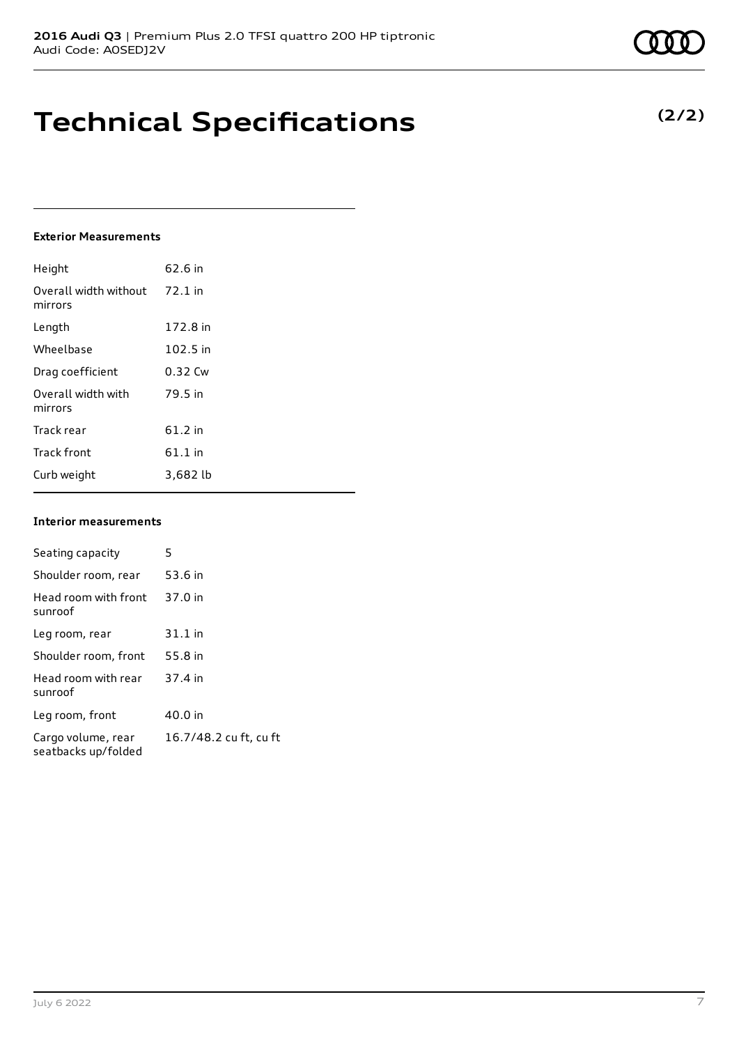## **Technical Specifications**

#### **Exterior Measurements**

| Height                           | 62.6 in   |
|----------------------------------|-----------|
| Overall width without<br>mirrors | $72.1$ in |
| Length                           | 172.8 in  |
| Wheelbase                        | 102.5 in  |
| Drag coefficient                 | 0.32 Cw   |
| Overall width with<br>mirrors    | 79.5 in   |
| Track rear                       | $61.2$ in |
| <b>Track front</b>               | $61.1$ in |
| Curb weight                      | 3,682 lb  |

#### **Interior measurements**

| Seating capacity                          | 5                      |
|-------------------------------------------|------------------------|
| Shoulder room, rear                       | 53.6 in                |
| Head room with front<br>sunroof           | 37.0 in                |
| Leg room, rear                            | $31.1$ in              |
| Shoulder room, front                      | 55.8 in                |
| Head room with rear<br>sunroof            | 37.4 in                |
| Leg room, front                           | 40.0 in                |
| Cargo volume, rear<br>seatbacks up/folded | 16.7/48.2 cu ft, cu ft |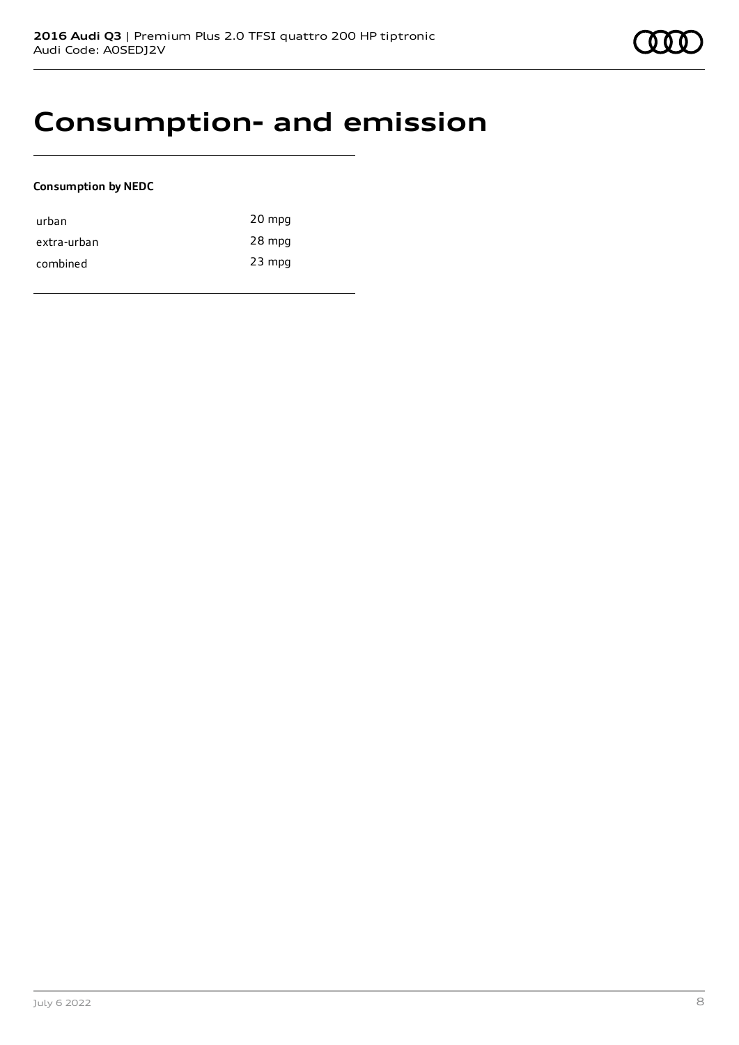## **Consumption- and emission**

#### **Consumption by NEDC**

| urban       | 20 mpg   |
|-------------|----------|
| extra-urban | 28 mpg   |
| combined    | $23$ mpg |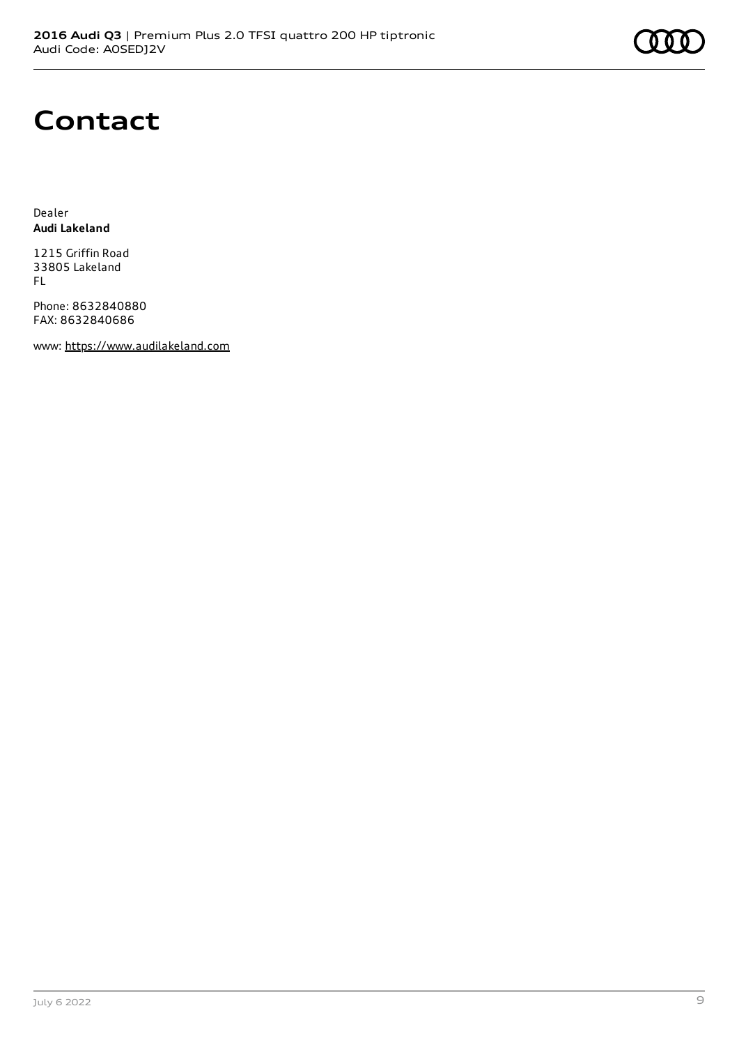

## **Contact**

Dealer **Audi Lakeland**

1215 Griffin Road 33805 Lakeland FL

Phone: 8632840880 FAX: 8632840686

www: [https://www.audilakeland.com](https://www.audilakeland.com/)